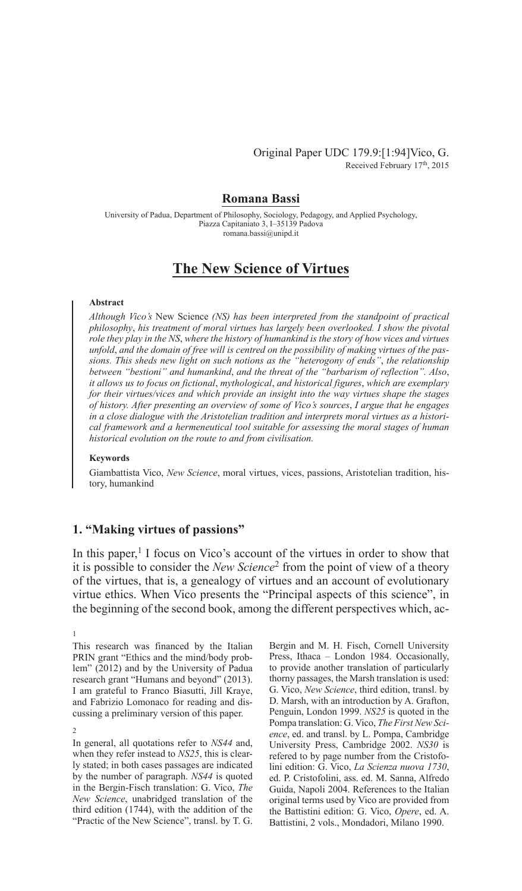## Original Paper UDC 179.9:[1:94]Vico, G. Received February 17th, 2015

## **Romana Bassi**

University of Padua, Department of Philosophy, Sociology, Pedagogy, and Applied Psychology, Piazza Capitaniato 3, I–35139 Padova romana.bassi@unipd.it

# **The New Science of Virtues**

#### **Abstract**

*Although Vico's* New Science *(NS) has been interpreted from the standpoint of practical philosophy*, *his treatment of moral virtues has largely been overlooked. I show the pivotal role they play in the NS*, *where the history of humankind is the story of how vices and virtues unfold*, *and the domain of free will is centred on the possibility of making virtues of the passions. This sheds new light on such notions as the "heterogony of ends"*, *the relationship between "bestioni" and humankind*, *and the threat of the "barbarism of reflection". Also*, *it allows us to focus on fictional*, *mythological*, *and historical figures*, *which are exemplary for their virtues/vices and which provide an insight into the way virtues shape the stages of history. After presenting an overview of some of Vico's sources*, *I argue that he engages in a close dialogue with the Aristotelian tradition and interprets moral virtues as a historical framework and a hermeneutical tool suitable for assessing the moral stages of human historical evolution on the route to and from civilisation.*

## **Keywords**

Giambattista Vico, *New Science*, moral virtues, vices, passions, Aristotelian tradition, history, humankind

## **1. "Making virtues of passions"**

In this paper, $<sup>1</sup>$  I focus on Vico's account of the virtues in order to show that</sup> it is possible to consider the *New Science*<sup>2</sup> from the point of view of a theory of the virtues, that is, a genealogy of virtues and an account of evolutionary virtue ethics. When Vico presents the "Principal aspects of this science", in the beginning of the second book, among the different perspectives which, ac-

1

In general, all quotations refer to *NS44* and, when they refer instead to *NS25*, this is clearly stated; in both cases passages are indicated by the number of paragraph. *NS44* is quoted in the Bergin-Fisch translation: G. Vico, *The New Science*, unabridged translation of the third edition (1744), with the addition of the "Practic of the New Science", transl. by T. G. Bergin and M. H. Fisch, Cornell University Press, Ithaca – London 1984. Occasionally, to provide another translation of particularly thorny passages, the Marsh translation is used: G. Vico, *New Science*, third edition, transl. by D. Marsh, with an introduction by A. Grafton, Penguin, London 1999. *NS25* is quoted in the Pompa translation: G. Vico, *The first New Science*, ed. and transl. by L. Pompa, Cambridge University Press, Cambridge 2002. *NS30* is refered to by page number from the Cristofolini edition: G. Vico, *La Scienza nuova 1730*, ed. P. Cristofolini, ass. ed. M. Sanna, Alfredo Guida, Napoli 2004. References to the Italian original terms used by Vico are provided from the Battistini edition: G. Vico, *Opere*, ed. A. Battistini, 2 vols., Mondadori, Milano 1990.

This research was financed by the Italian PRIN grant "Ethics and the mind/body problem" (2012) and by the University of Padua research grant "Humans and beyond" (2013). I am grateful to Franco Biasutti, Jill Kraye, and Fabrizio Lomonaco for reading and discussing a preliminary version of this paper.

<sup>2</sup>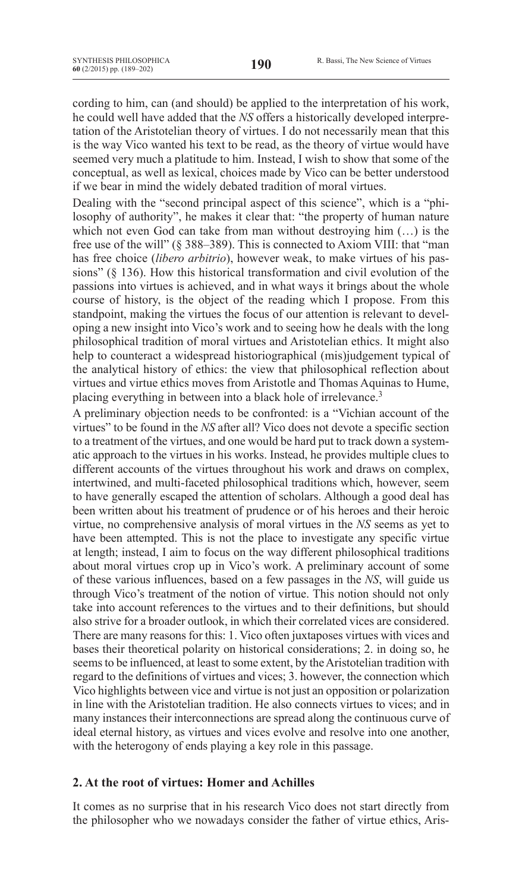cording to him, can (and should) be applied to the interpretation of his work, he could well have added that the *NS* offers a historically developed interpretation of the Aristotelian theory of virtues. I do not necessarily mean that this is the way Vico wanted his text to be read, as the theory of virtue would have seemed very much a platitude to him. Instead, I wish to show that some of the conceptual, as well as lexical, choices made by Vico can be better understood if we bear in mind the widely debated tradition of moral virtues.

Dealing with the "second principal aspect of this science", which is a "philosophy of authority", he makes it clear that: "the property of human nature which not even God can take from man without destroying him  $(...)$  is the free use of the will" (§ 388–389). This is connected to Axiom VIII: that "man has free choice (*libero arbitrio*), however weak, to make virtues of his passions" (§ 136). How this historical transformation and civil evolution of the passions into virtues is achieved, and in what ways it brings about the whole course of history, is the object of the reading which I propose. From this standpoint, making the virtues the focus of our attention is relevant to developing a new insight into Vico's work and to seeing how he deals with the long philosophical tradition of moral virtues and Aristotelian ethics. It might also help to counteract a widespread historiographical (mis)judgement typical of the analytical history of ethics: the view that philosophical reflection about virtues and virtue ethics moves from Aristotle and Thomas Aquinas to Hume, placing everything in between into a black hole of irrelevance.<sup>3</sup>

A preliminary objection needs to be confronted: is a "Vichian account of the virtues" to be found in the *NS* after all? Vico does not devote a specific section to a treatment of the virtues, and one would be hard put to track down a systematic approach to the virtues in his works. Instead, he provides multiple clues to different accounts of the virtues throughout his work and draws on complex, intertwined, and multi-faceted philosophical traditions which, however, seem to have generally escaped the attention of scholars. Although a good deal has been written about his treatment of prudence or of his heroes and their heroic virtue, no comprehensive analysis of moral virtues in the *NS* seems as yet to have been attempted. This is not the place to investigate any specific virtue at length; instead, I aim to focus on the way different philosophical traditions about moral virtues crop up in Vico's work. A preliminary account of some of these various influences, based on a few passages in the *NS*, will guide us through Vico's treatment of the notion of virtue. This notion should not only take into account references to the virtues and to their definitions, but should also strive for a broader outlook, in which their correlated vices are considered. There are many reasons for this: 1. Vico often juxtaposes virtues with vices and bases their theoretical polarity on historical considerations; 2. in doing so, he seems to be influenced, at least to some extent, by the Aristotelian tradition with regard to the definitions of virtues and vices; 3. however, the connection which Vico highlights between vice and virtue is not just an opposition or polarization in line with the Aristotelian tradition. He also connects virtues to vices; and in many instances their interconnections are spread along the continuous curve of ideal eternal history, as virtues and vices evolve and resolve into one another, with the heterogony of ends playing a key role in this passage.

## **2. At the root of virtues: Homer and Achilles**

It comes as no surprise that in his research Vico does not start directly from the philosopher who we nowadays consider the father of virtue ethics, Aris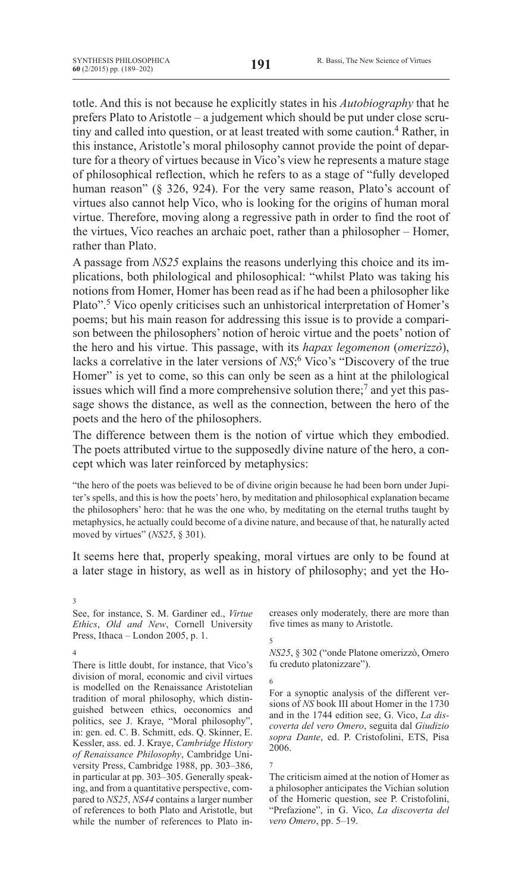totle. And this is not because he explicitly states in his *Autobiography* that he prefers Plato to Aristotle – a judgement which should be put under close scrutiny and called into question, or at least treated with some caution.<sup>4</sup> Rather, in this instance, Aristotle's moral philosophy cannot provide the point of departure for a theory of virtues because in Vico's view he represents a mature stage of philosophical reflection, which he refers to as a stage of "fully developed human reason" (§ 326, 924). For the very same reason, Plato's account of virtues also cannot help Vico, who is looking for the origins of human moral virtue. Therefore, moving along a regressive path in order to find the root of the virtues, Vico reaches an archaic poet, rather than a philosopher – Homer, rather than Plato.

A passage from *NS25* explains the reasons underlying this choice and its implications, both philological and philosophical: "whilst Plato was taking his notions from Homer, Homer has been read as if he had been a philosopher like Plato".5 Vico openly criticises such an unhistorical interpretation of Homer's poems; but his main reason for addressing this issue is to provide a comparison between the philosophers' notion of heroic virtue and the poets' notion of the hero and his virtue. This passage, with its *hapax legomenon* (*omerizzò*), lacks a correlative in the later versions of *NS*; <sup>6</sup> Vico's "Discovery of the true Homer" is yet to come, so this can only be seen as a hint at the philological issues which will find a more comprehensive solution there;<sup>7</sup> and yet this passage shows the distance, as well as the connection, between the hero of the poets and the hero of the philosophers.

The difference between them is the notion of virtue which they embodied. The poets attributed virtue to the supposedly divine nature of the hero, a concept which was later reinforced by metaphysics:

"the hero of the poets was believed to be of divine origin because he had been born under Jupiter's spells, and this is how the poets' hero, by meditation and philosophical explanation became the philosophers' hero: that he was the one who, by meditating on the eternal truths taught by metaphysics, he actually could become of a divine nature, and because of that, he naturally acted moved by virtues" (*NS25*, § 301).

It seems here that, properly speaking, moral virtues are only to be found at a later stage in history, as well as in history of philosophy; and yet the Ho-

See, for instance, S. M. Gardiner ed., *Virtue Ethics*, *Old and New*, Cornell University Press, Ithaca – London 2005, p. 1.

4

3

There is little doubt, for instance, that Vico's division of moral, economic and civil virtues is modelled on the Renaissance Aristotelian tradition of moral philosophy, which distinguished between ethics, oeconomics and politics, see J. Kraye, "Moral philosophy", in: gen. ed. C. B. Schmitt, eds. Q. Skinner, E. Kessler, ass. ed. J. Kraye, *Cambridge History of Renaissance Philosophy*, Cambridge University Press, Cambridge 1988, pp. 303–386, in particular at pp. 303–305. Generally speaking, and from a quantitative perspective, compared to *NS25*, *NS44* contains a larger number of references to both Plato and Aristotle, but while the number of references to Plato increases only moderately, there are more than five times as many to Aristotle.

5 *NS25*, § 302 ("onde Platone omerizzò, Omero fu creduto platonizzare").

6 For a synoptic analysis of the different versions of *NS* book III about Homer in the 1730 and in the 1744 edition see, G. Vico, *La discoverta del vero Omero*, seguita dal *Giudizio sopra Dante*, ed. P. Cristofolini, ETS, Pisa 2006.

7

The criticism aimed at the notion of Homer as a philosopher anticipates the Vichian solution of the Homeric question, see P. Cristofolini, "Prefazione", in G. Vico, *La discoverta del vero Omero*, pp. 5–19.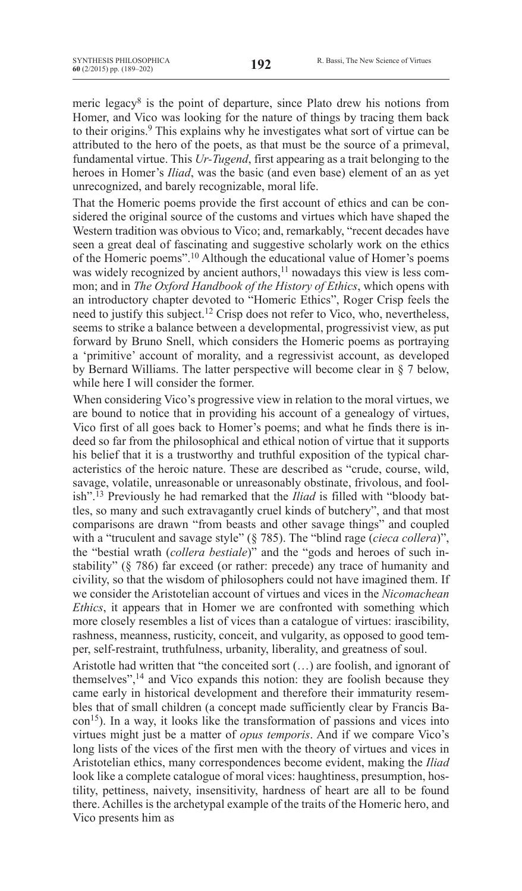meric legacy<sup>8</sup> is the point of departure, since Plato drew his notions from Homer, and Vico was looking for the nature of things by tracing them back to their origins.<sup>9</sup> This explains why he investigates what sort of virtue can be attributed to the hero of the poets, as that must be the source of a primeval, fundamental virtue. This *Ur-Tugend*, first appearing as a trait belonging to the heroes in Homer's *Iliad*, was the basic (and even base) element of an as yet unrecognized, and barely recognizable, moral life.

That the Homeric poems provide the first account of ethics and can be considered the original source of the customs and virtues which have shaped the Western tradition was obvious to Vico; and, remarkably, "recent decades have seen a great deal of fascinating and suggestive scholarly work on the ethics of the Homeric poems".10 Although the educational value of Homer's poems was widely recognized by ancient authors,<sup>11</sup> nowadays this view is less common; and in *The Oxford Handbook of the History of Ethics*, which opens with an introductory chapter devoted to "Homeric Ethics", Roger Crisp feels the need to justify this subject.12 Crisp does not refer to Vico, who, nevertheless, seems to strike a balance between a developmental, progressivist view, as put forward by Bruno Snell, which considers the Homeric poems as portraying a 'primitive' account of morality, and a regressivist account, as developed by Bernard Williams. The latter perspective will become clear in § 7 below, while here I will consider the former.

When considering Vico's progressive view in relation to the moral virtues, we are bound to notice that in providing his account of a genealogy of virtues, Vico first of all goes back to Homer's poems; and what he finds there is indeed so far from the philosophical and ethical notion of virtue that it supports his belief that it is a trustworthy and truthful exposition of the typical characteristics of the heroic nature. These are described as "crude, course, wild, savage, volatile, unreasonable or unreasonably obstinate, frivolous, and foolish".13 Previously he had remarked that the *Iliad* is filled with "bloody battles, so many and such extravagantly cruel kinds of butchery", and that most comparisons are drawn "from beasts and other savage things" and coupled with a "truculent and savage style" (§ 785). The "blind rage (*cieca collera*)", the "bestial wrath (*collera bestiale*)" and the "gods and heroes of such instability" (§ 786) far exceed (or rather: precede) any trace of humanity and civility, so that the wisdom of philosophers could not have imagined them. If we consider the Aristotelian account of virtues and vices in the *Nicomachean Ethics*, it appears that in Homer we are confronted with something which more closely resembles a list of vices than a catalogue of virtues: irascibility, rashness, meanness, rusticity, conceit, and vulgarity, as opposed to good temper, self-restraint, truthfulness, urbanity, liberality, and greatness of soul.

Aristotle had written that "the conceited sort (…) are foolish, and ignorant of themselves",14 and Vico expands this notion: they are foolish because they came early in historical development and therefore their immaturity resembles that of small children (a concept made sufficiently clear by Francis Bacon<sup>15</sup>). In a way, it looks like the transformation of passions and vices into virtues might just be a matter of *opus temporis*. And if we compare Vico's long lists of the vices of the first men with the theory of virtues and vices in Aristotelian ethics, many correspondences become evident, making the *Iliad* look like a complete catalogue of moral vices: haughtiness, presumption, hostility, pettiness, naivety, insensitivity, hardness of heart are all to be found there. Achilles is the archetypal example of the traits of the Homeric hero, and Vico presents him as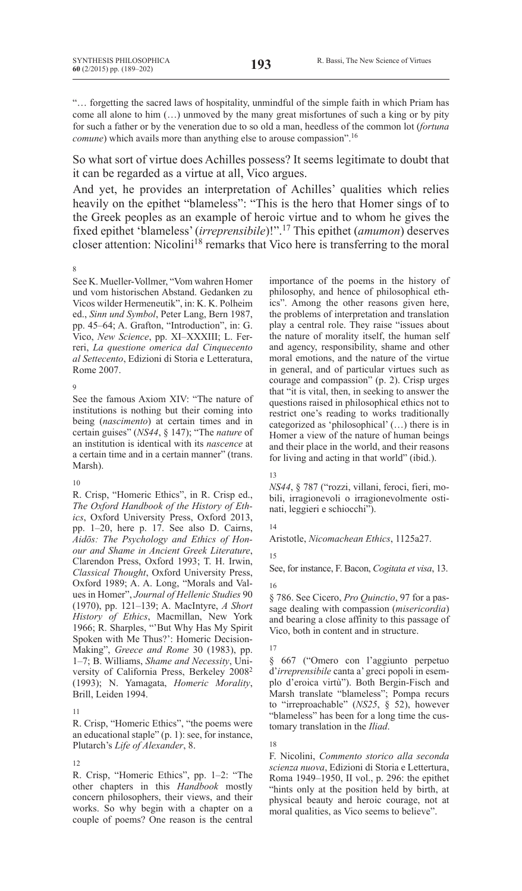"… forgetting the sacred laws of hospitality, unmindful of the simple faith in which Priam has come all alone to him (…) unmoved by the many great misfortunes of such a king or by pity for such a father or by the veneration due to so old a man, heedless of the common lot (*fortuna comune*) which avails more than anything else to arouse compassion".<sup>16</sup>

So what sort of virtue does Achilles possess? It seems legitimate to doubt that it can be regarded as a virtue at all, Vico argues.

And yet, he provides an interpretation of Achilles' qualities which relies heavily on the epithet "blameless": "This is the hero that Homer sings of to the Greek peoples as an example of heroic virtue and to whom he gives the fixed epithet 'blameless'(*irreprensibile*)!".17 This epithet (*amumon*) deserves closer attention: Nicolini<sup>18</sup> remarks that Vico here is transferring to the moral

8

See K. Mueller-Vollmer, "Vom wahren Homer und vom historischen Abstand. Gedanken zu Vicos wilder Hermeneutik", in: K. K. Polheim ed., *Sinn und Symbol*, Peter Lang, Bern 1987, pp. 45–64; A. Grafton, "Introduction", in: G. Vico, *New Science*, pp. XI–XXXIII; L. Ferreri, *La questione omerica dal Cinquecento al Settecento*, Edizioni di Storia e Letteratura, Rome 2007.

9

See the famous Axiom XIV: "The nature of institutions is nothing but their coming into being (*nascimento*) at certain times and in certain guises" (*NS44*, § 147); "The *nature* of an institution is identical with its *nascence* at a certain time and in a certain manner" (trans. Marsh).

### 10

R. Crisp, "Homeric Ethics", in R. Crisp ed., *The Oxford Handbook of the History of Ethics*, Oxford University Press, Oxford 2013, pp. 1–20, here p. 17. See also D. Cairns, *Aidōs: The Psychology and Ethics of Honour and Shame in Ancient Greek Literature*, Clarendon Press, Oxford 1993; T. H. Irwin, *Classical Thought*, Oxford University Press, Oxford 1989; A. A. Long, "Morals and Values in Homer", *Journal of Hellenic Studies* 90 (1970), pp. 121–139; A. MacIntyre, *A Short History of Ethics*, Macmillan, New York 1966; R. Sharples, "'But Why Has My Spirit Spoken with Me Thus?': Homeric Decision-Making", *Greece and Rome* 30 (1983), pp. 1–7; B. Williams, *Shame and Necessity*, University of California Press, Berkeley 2008<sup>2</sup> (1993); N. Yamagata, *Homeric Morality*, Brill, Leiden 1994.

11

R. Crisp, "Homeric Ethics", "the poems were an educational staple" (p. 1): see, for instance, Plutarch's *Life of Alexander*, 8.

12

R. Crisp, "Homeric Ethics", pp. 1–2: "The other chapters in this *Handbook* mostly concern philosophers, their views, and their works. So why begin with a chapter on a couple of poems? One reason is the central importance of the poems in the history of philosophy, and hence of philosophical ethics". Among the other reasons given here, the problems of interpretation and translation play a central role. They raise "issues about the nature of morality itself, the human self and agency, responsibility, shame and other moral emotions, and the nature of the virtue in general, and of particular virtues such as courage and compassion" (p. 2). Crisp urges that "it is vital, then, in seeking to answer the questions raised in philosophical ethics not to restrict one's reading to works traditionally categorized as 'philosophical' (…) there is in Homer a view of the nature of human beings and their place in the world, and their reasons for living and acting in that world" (ibid.).

#### 13

*NS44*, § 787 ("rozzi, villani, feroci, fieri, mobili, irragionevoli o irragionevolmente ostinati, leggieri e schiocchi").

## 14

Aristotle, *Nicomachean Ethics*, 1125a27.

## 15

See, for instance, F. Bacon, *Cogitata et visa*, 13.

16

§ 786. See Cicero, *Pro Quinctio*, 97 for a passage dealing with compassion (*misericordia*) and bearing a close affinity to this passage of Vico, both in content and in structure.

## 17

§ 667 ("Omero con l'aggiunto perpetuo d'*irreprensibile* canta a' greci popoli in esemplo d'eroica virtù"). Both Bergin-Fisch and Marsh translate "blameless"; Pompa recurs to "irreproachable" (*NS25*, § 52), however "blameless" has been for a long time the customary translation in the *Iliad*.

18

F. Nicolini, *Commento storico alla seconda scienza nuova*, Edizioni di Storia e Lettertura, Roma 1949–1950, II vol., p. 296: the epithet "hints only at the position held by birth, at physical beauty and heroic courage, not at moral qualities, as Vico seems to believe".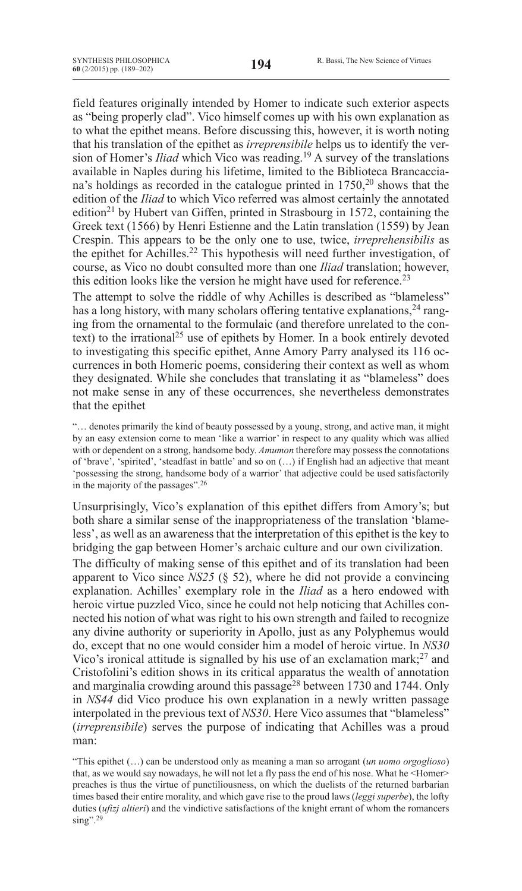field features originally intended by Homer to indicate such exterior aspects as "being properly clad". Vico himself comes up with his own explanation as to what the epithet means. Before discussing this, however, it is worth noting that his translation of the epithet as *irreprensibile* helps us to identify the version of Homer's *Iliad* which Vico was reading.19 A survey of the translations available in Naples during his lifetime, limited to the Biblioteca Brancacciana's holdings as recorded in the catalogue printed in  $1750$ ,<sup>20</sup> shows that the edition of the *Iliad* to which Vico referred was almost certainly the annotated edition<sup>21</sup> by Hubert van Giffen, printed in Strasbourg in 1572, containing the Greek text (1566) by Henri Estienne and the Latin translation (1559) by Jean Crespin. This appears to be the only one to use, twice, *irreprehensibilis* as the epithet for Achilles.22 This hypothesis will need further investigation, of course, as Vico no doubt consulted more than one *Iliad* translation; however, this edition looks like the version he might have used for reference.<sup>23</sup>

The attempt to solve the riddle of why Achilles is described as "blameless" has a long history, with many scholars offering tentative explanations,  $24$  ranging from the ornamental to the formulaic (and therefore unrelated to the context) to the irrational<sup>25</sup> use of epithets by Homer. In a book entirely devoted to investigating this specific epithet, Anne Amory Parry analysed its 116 occurrences in both Homeric poems, considering their context as well as whom they designated. While she concludes that translating it as "blameless" does not make sense in any of these occurrences, she nevertheless demonstrates that the epithet

"… denotes primarily the kind of beauty possessed by a young, strong, and active man, it might by an easy extension come to mean 'like a warrior' in respect to any quality which was allied with or dependent on a strong, handsome body. *Amumon* therefore may possess the connotations of 'brave', 'spirited', 'steadfast in battle' and so on (…) if English had an adjective that meant 'possessing the strong, handsome body of a warrior' that adjective could be used satisfactorily in the majority of the passages".26

Unsurprisingly, Vico's explanation of this epithet differs from Amory's; but both share a similar sense of the inappropriateness of the translation 'blameless', as well as an awareness that the interpretation of this epithet is the key to bridging the gap between Homer's archaic culture and our own civilization.

The difficulty of making sense of this epithet and of its translation had been apparent to Vico since *NS25* (§ 52), where he did not provide a convincing explanation. Achilles' exemplary role in the *Iliad* as a hero endowed with heroic virtue puzzled Vico, since he could not help noticing that Achilles connected his notion of what was right to his own strength and failed to recognize any divine authority or superiority in Apollo, just as any Polyphemus would do, except that no one would consider him a model of heroic virtue. In *NS30* Vico's ironical attitude is signalled by his use of an exclamation mark; $^{27}$  and Cristofolini's edition shows in its critical apparatus the wealth of annotation and marginalia crowding around this passage<sup>28</sup> between 1730 and 1744. Only in *NS44* did Vico produce his own explanation in a newly written passage interpolated in the previous text of *NS30*. Here Vico assumes that "blameless" (*irreprensibile*) serves the purpose of indicating that Achilles was a proud man:

"This epithet (…) can be understood only as meaning a man so arrogant (*un uomo orgoglioso*) that, as we would say nowadays, he will not let a fly pass the end of his nose. What he <Homer> preaches is thus the virtue of punctiliousness, on which the duelists of the returned barbarian times based their entire morality, and which gave rise to the proud laws (*leggi superbe*), the lofty duties (*ufizj altieri*) and the vindictive satisfactions of the knight errant of whom the romancers  $\sin g$ ".<sup>29</sup>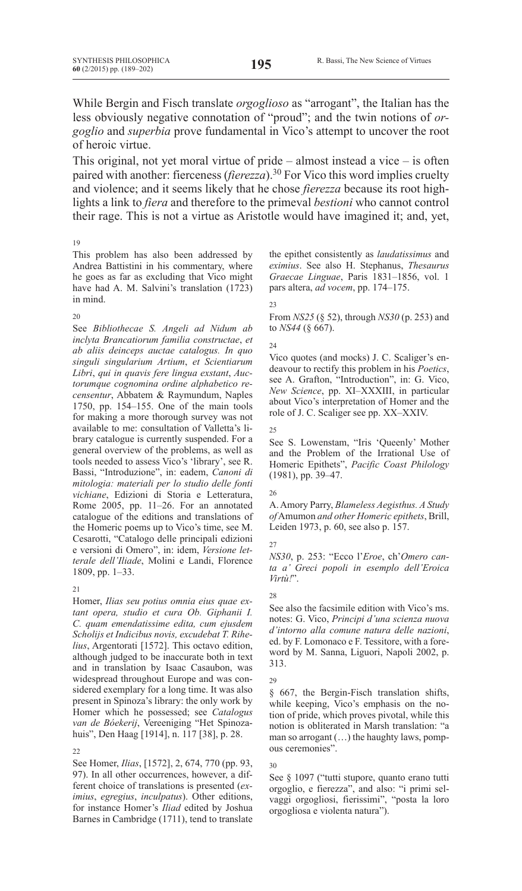While Bergin and Fisch translate *orgoglioso* as "arrogant", the Italian has the less obviously negative connotation of "proud"; and the twin notions of *orgoglio* and *superbia* prove fundamental in Vico's attempt to uncover the root of heroic virtue.

This original, not yet moral virtue of pride – almost instead a vice – is often paired with another: fierceness (*fierezza*).<sup>30</sup> For Vico this word implies cruelty and violence; and it seems likely that he chose *fierezza* because its root highlights a link to *fiera* and therefore to the primeval *bestioni* who cannot control their rage. This is not a virtue as Aristotle would have imagined it; and, yet,

#### 19

This problem has also been addressed by Andrea Battistini in his commentary, where he goes as far as excluding that Vico might have had A. M. Salvini's translation (1723) in mind.

#### 20

See *Bibliothecae S. Angeli ad Nidum ab inclyta Brancatiorum familia constructae*, *et ab aliis deinceps auctae catalogus. In quo singuli singularium Artium*, *et Scientiarum Libri*, *qui in quavis fere lingua exstant*, *Auctorumque cognomina ordine alphabetico recensentur*, Abbatem & Raymundum, Naples 1750, pp. 154–155. One of the main tools for making a more thorough survey was not available to me: consultation of Valletta's library catalogue is currently suspended. For a general overview of the problems, as well as tools needed to assess Vico's 'library', see R. Bassi, "Introduzione", in: eadem, *Canoni di mitologia: materiali per lo studio delle fonti vichiane*, Edizioni di Storia e Letteratura, Rome 2005, pp. 11–26. For an annotated catalogue of the editions and translations of the Homeric poems up to Vico's time, see M. Cesarotti, "Catalogo delle principali edizioni e versioni di Omero", in: idem, *Versione letterale dell'Iliade*, Molini e Landi, Florence 1809, pp. 1–33.

## $21$

Homer, *Ilias seu potius omnia eius quae extant opera, studio et cura Ob. Giphanii I. C. quam emendatissime edita, cum ejusdem Scholijs et Indicibus novis, excudebat T. Rihelius*, Argentorati [1572]. This octavo edition, although judged to be inaccurate both in text and in translation by Isaac Casaubon, was widespread throughout Europe and was considered exemplary for a long time. It was also present in Spinoza's library: the only work by Homer which he possessed; see *Catalogus van de Bóekerij*, Vereeniging "Het Spinozahuis", Den Haag [1914], n. 117 [38], p. 28.

## 22

See Homer, *Ilias*, [1572], 2, 674, 770 (pp. 93, 97). In all other occurrences, however, a different choice of translations is presented (*eximius*, *egregius*, *inculpatus*). Other editions, for instance Homer's *Iliad* edited by Joshua Barnes in Cambridge (1711), tend to translate the epithet consistently as *laudatissimus* and *eximius*. See also H. Stephanus, *Thesaurus Graecae Linguae*, Paris 1831–1856, vol. 1 pars altera, *ad vocem*, pp. 174–175.

### $2<sup>2</sup>$

From *NS25* (§ 52), through *NS30* (p. 253) and to *NS44* (§ 667).

### 24

Vico quotes (and mocks) J. C. Scaliger's endeavour to rectify this problem in his *Poetics*, see A. Grafton, "Introduction", in: G. Vico, *New Science*, pp. XI–XXXIII, in particular about Vico's interpretation of Homer and the role of J. C. Scaliger see pp. XX–XXIV.

#### 25

See S. Lowenstam, "Iris 'Queenly' Mother and the Problem of the Irrational Use of Homeric Epithets", *Pacific Coast Philology* (1981), pp. 39–47.

## 26

A.Amory Parry, *Blameless Aegisthus. A Study of*Amumon *and other Homeric epithets*, Brill, Leiden 1973, p. 60, see also p. 157.

## 27

*NS30*, p. 253: "Ecco l'*Eroe*, ch'*Omero canta a' Greci popoli in esemplo dell'Eroica Virtù!*".

## $28$

See also the facsimile edition with Vico's ms. notes: G. Vico, *Principi d'una scienza nuova d'intorno alla comune natura delle nazioni*, ed. by F. Lomonaco e F. Tessitore, with a foreword by M. Sanna, Liguori, Napoli 2002, p. 313.

## 29

§ 667, the Bergin-Fisch translation shifts, while keeping, Vico's emphasis on the notion of pride, which proves pivotal, while this notion is obliterated in Marsh translation: "a man so arrogant (…) the haughty laws, pompous ceremonies".

#### 30

See § 1097 ("tutti stupore, quanto erano tutti orgoglio, e fierezza", and also: "i primi selvaggi orgogliosi, fierissimi", "posta la loro orgogliosa e violenta natura").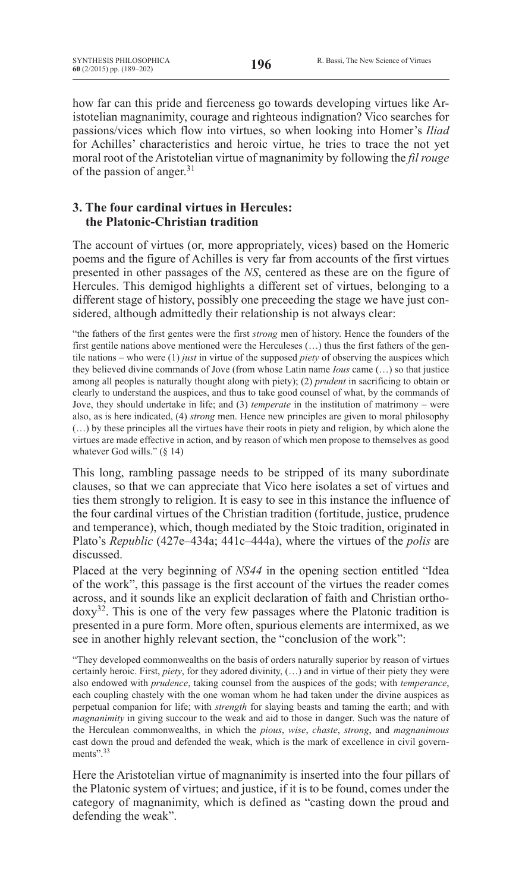how far can this pride and fierceness go towards developing virtues like Aristotelian magnanimity, courage and righteous indignation? Vico searches for passions/vices which flow into virtues, so when looking into Homer's *Iliad* for Achilles' characteristics and heroic virtue, he tries to trace the not yet moral root of the Aristotelian virtue of magnanimity by following the *fil rouge* of the passion of anger.31

## **3. The four cardinal virtues in Hercules: the Platonic-Christian tradition**

The account of virtues (or, more appropriately, vices) based on the Homeric poems and the figure of Achilles is very far from accounts of the first virtues presented in other passages of the *NS*, centered as these are on the figure of Hercules. This demigod highlights a different set of virtues, belonging to a different stage of history, possibly one preceeding the stage we have just considered, although admittedly their relationship is not always clear:

"the fathers of the first gentes were the first *strong* men of history. Hence the founders of the first gentile nations above mentioned were the Herculeses (…) thus the first fathers of the gentile nations – who were (1) *just* in virtue of the supposed *piety* of observing the auspices which they believed divine commands of Jove (from whose Latin name *Ious* came (…) so that justice among all peoples is naturally thought along with piety); (2) *prudent* in sacrificing to obtain or clearly to understand the auspices, and thus to take good counsel of what, by the commands of Jove, they should undertake in life; and (3) *temperate* in the institution of matrimony – were also, as is here indicated, (4) *strong* men. Hence new principles are given to moral philosophy (…) by these principles all the virtues have their roots in piety and religion, by which alone the virtues are made effective in action, and by reason of which men propose to themselves as good whatever God wills." (§ 14)

This long, rambling passage needs to be stripped of its many subordinate clauses, so that we can appreciate that Vico here isolates a set of virtues and ties them strongly to religion. It is easy to see in this instance the influence of the four cardinal virtues of the Christian tradition (fortitude, justice, prudence and temperance), which, though mediated by the Stoic tradition, originated in Plato's *Republic* (427e–434a; 441c–444a), where the virtues of the *polis* are discussed.

Placed at the very beginning of *NS44* in the opening section entitled "Idea of the work", this passage is the first account of the virtues the reader comes across, and it sounds like an explicit declaration of faith and Christian ortho $d$ oxy<sup>32</sup>. This is one of the very few passages where the Platonic tradition is presented in a pure form. More often, spurious elements are intermixed, as we see in another highly relevant section, the "conclusion of the work":

"They developed commonwealths on the basis of orders naturally superior by reason of virtues certainly heroic. First, *piety*, for they adored divinity, (…) and in virtue of their piety they were also endowed with *prudence*, taking counsel from the auspices of the gods; with *temperance*, each coupling chastely with the one woman whom he had taken under the divine auspices as perpetual companion for life; with *strength* for slaying beasts and taming the earth; and with *magnanimity* in giving succour to the weak and aid to those in danger. Such was the nature of the Herculean commonwealths, in which the *pious*, *wise*, *chaste*, *strong*, and *magnanimous* cast down the proud and defended the weak, which is the mark of excellence in civil governments"<sup>33</sup>

Here the Aristotelian virtue of magnanimity is inserted into the four pillars of the Platonic system of virtues; and justice, if it is to be found, comes under the category of magnanimity, which is defined as "casting down the proud and defending the weak".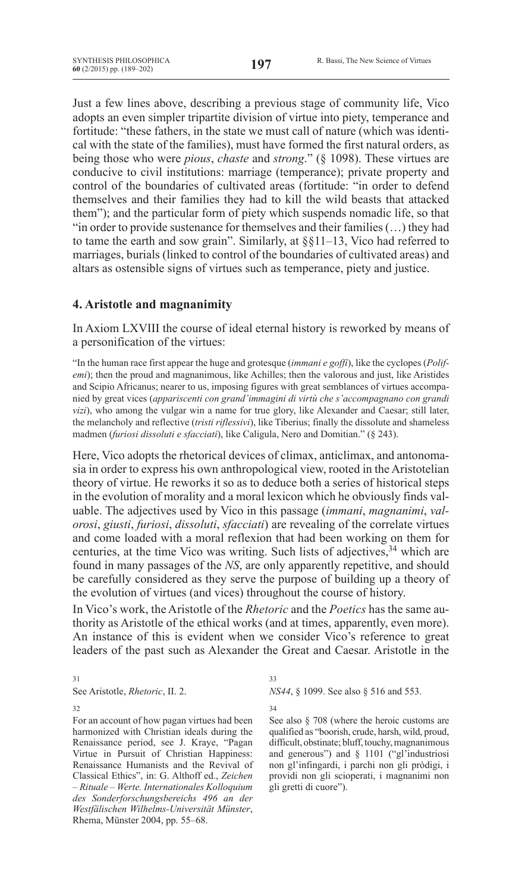Just a few lines above, describing a previous stage of community life, Vico adopts an even simpler tripartite division of virtue into piety, temperance and fortitude: "these fathers, in the state we must call of nature (which was identical with the state of the families), must have formed the first natural orders, as being those who were *pious*, *chaste* and *strong*." (§ 1098). These virtues are conducive to civil institutions: marriage (temperance); private property and control of the boundaries of cultivated areas (fortitude: "in order to defend themselves and their families they had to kill the wild beasts that attacked them"); and the particular form of piety which suspends nomadic life, so that "in order to provide sustenance for themselves and their families(…) they had to tame the earth and sow grain". Similarly, at §§11–13, Vico had referred to marriages, burials (linked to control of the boundaries of cultivated areas) and altars as ostensible signs of virtues such as temperance, piety and justice.

## **4. Aristotle and magnanimity**

In Axiom LXVIII the course of ideal eternal history is reworked by means of a personification of the virtues:

"In the human race first appear the huge and grotesque (*immani e goffi*), like the cyclopes (*Polifemi*); then the proud and magnanimous, like Achilles; then the valorous and just, like Aristides and Scipio Africanus; nearer to us, imposing figures with great semblances of virtues accompanied by great vices (*appariscenti con grand'immagini di virtù che s'accompagnano con grandi vizi*), who among the vulgar win a name for true glory, like Alexander and Caesar; still later, the melancholy and reflective (*tristi riflessivi*), like Tiberius; finally the dissolute and shameless madmen (*furiosi dissoluti e sfacciati*), like Caligula, Nero and Domitian." (§ 243).

Here, Vico adopts the rhetorical devices of climax, anticlimax, and antonomasia in order to express his own anthropological view, rooted in the Aristotelian theory of virtue. He reworks it so as to deduce both a series of historical steps in the evolution of morality and a moral lexicon which he obviously finds valuable. The adjectives used by Vico in this passage (*immani*, *magnanimi*, *valorosi*, *giusti*, *furiosi*, *dissoluti*, *sfacciati*) are revealing of the correlate virtues and come loaded with a moral reflexion that had been working on them for centuries, at the time Vico was writing. Such lists of adjectives,<sup>34</sup> which are found in many passages of the *NS*, are only apparently repetitive, and should be carefully considered as they serve the purpose of building up a theory of the evolution of virtues (and vices) throughout the course of history.

In Vico's work, the Aristotle of the *Rhetoric* and the *Poetics* has the same authority as Aristotle of the ethical works (and at times, apparently, even more). An instance of this is evident when we consider Vico's reference to great leaders of the past such as Alexander the Great and Caesar. Aristotle in the

31 See Aristotle, *Rhetoric*, II. 2.

32

For an account of how pagan virtues had been harmonized with Christian ideals during the Renaissance period, see J. Kraye, "Pagan Virtue in Pursuit of Christian Happiness: Renaissance Humanists and the Revival of Classical Ethics", in: G. Althoff ed., *Zeichen – Rituale – Werte. Internationales Kolloquium des Sonderforschungsbereichs 496 an der Westfälischen Wilhelms-Universität Münster*, Rhema, Münster 2004, pp. 55–68.

## 33

*NS44*, § 1099. See also § 516 and 553.

34

See also § 708 (where the heroic customs are qualified as "boorish, crude, harsh, wild, proud, difficult, obstinate; bluff, touchy, magnanimous and generous") and § 1101 ("gl'industriosi non gl'infingardi, i parchi non gli pròdigi, i providi non gli scioperati, i magnanimi non gli gretti di cuore").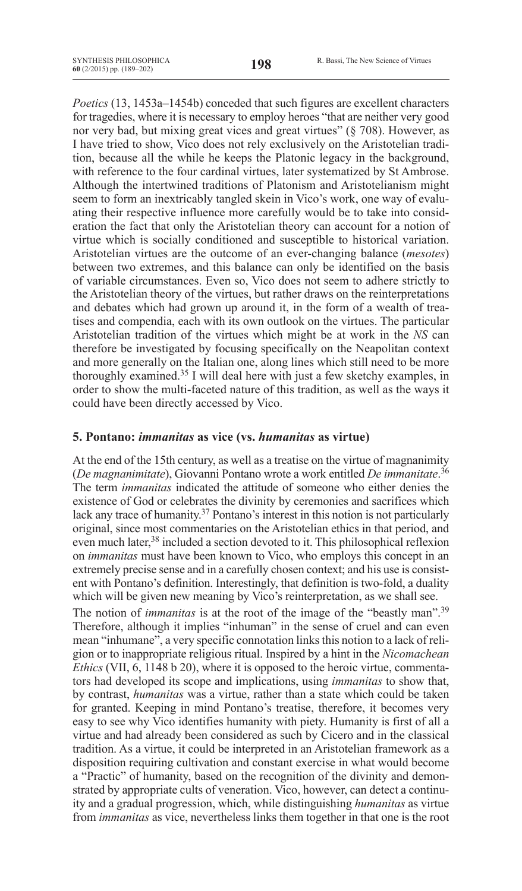*Poetics* (13, 1453a–1454b) conceded that such figures are excellent characters for tragedies, where it is necessary to employ heroes "that are neither very good nor very bad, but mixing great vices and great virtues" (§ 708). However, as I have tried to show, Vico does not rely exclusively on the Aristotelian tradition, because all the while he keeps the Platonic legacy in the background, with reference to the four cardinal virtues, later systematized by St Ambrose. Although the intertwined traditions of Platonism and Aristotelianism might seem to form an inextricably tangled skein in Vico's work, one way of evaluating their respective influence more carefully would be to take into consideration the fact that only the Aristotelian theory can account for a notion of virtue which is socially conditioned and susceptible to historical variation. Aristotelian virtues are the outcome of an ever-changing balance (*mesotes*) between two extremes, and this balance can only be identified on the basis of variable circumstances. Even so, Vico does not seem to adhere strictly to the Aristotelian theory of the virtues, but rather draws on the reinterpretations and debates which had grown up around it, in the form of a wealth of treatises and compendia, each with its own outlook on the virtues. The particular Aristotelian tradition of the virtues which might be at work in the *NS* can therefore be investigated by focusing specifically on the Neapolitan context and more generally on the Italian one, along lines which still need to be more thoroughly examined.35 I will deal here with just a few sketchy examples, in order to show the multi-faceted nature of this tradition, as well as the ways it could have been directly accessed by Vico.

## **5. Pontano:** *immanitas* **as vice (vs.** *humanitas* **as virtue)**

At the end of the 15th century, as well as a treatise on the virtue of magnanimity (*De magnanimitate*), Giovanni Pontano wrote a work entitled *De immanitate*. 36 The term *immanitas* indicated the attitude of someone who either denies the existence of God or celebrates the divinity by ceremonies and sacrifices which lack any trace of humanity.<sup>37</sup> Pontano's interest in this notion is not particularly original, since most commentaries on the Aristotelian ethics in that period, and even much later,<sup>38</sup> included a section devoted to it. This philosophical reflexion on *immanitas* must have been known to Vico, who employs this concept in an extremely precise sense and in a carefully chosen context; and his use is consistent with Pontano's definition. Interestingly, that definition is two-fold, a duality which will be given new meaning by Vico's reinterpretation, as we shall see.

The notion of *immanitas* is at the root of the image of the "beastly man".<sup>39</sup> Therefore, although it implies "inhuman" in the sense of cruel and can even mean "inhumane", a very specific connotation links this notion to a lack of religion or to inappropriate religious ritual. Inspired by a hint in the *Nicomachean Ethics* (VII, 6, 1148 b 20), where it is opposed to the heroic virtue, commentators had developed its scope and implications, using *immanitas* to show that, by contrast, *humanitas* was a virtue, rather than a state which could be taken for granted. Keeping in mind Pontano's treatise, therefore, it becomes very easy to see why Vico identifies humanity with piety. Humanity is first of all a virtue and had already been considered as such by Cicero and in the classical tradition. As a virtue, it could be interpreted in an Aristotelian framework as a disposition requiring cultivation and constant exercise in what would become a "Practic" of humanity, based on the recognition of the divinity and demonstrated by appropriate cults of veneration. Vico, however, can detect a continuity and a gradual progression, which, while distinguishing *humanitas* as virtue from *immanitas* as vice, nevertheless links them together in that one is the root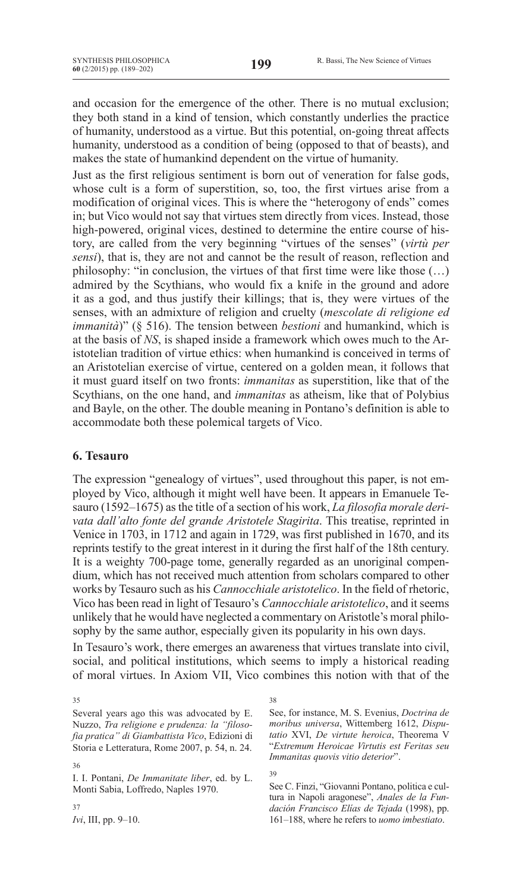and occasion for the emergence of the other. There is no mutual exclusion; they both stand in a kind of tension, which constantly underlies the practice of humanity, understood as a virtue. But this potential, on-going threat affects humanity, understood as a condition of being (opposed to that of beasts), and makes the state of humankind dependent on the virtue of humanity.

Just as the first religious sentiment is born out of veneration for false gods, whose cult is a form of superstition, so, too, the first virtues arise from a modification of original vices. This is where the "heterogony of ends" comes in; but Vico would not say that virtues stem directly from vices. Instead, those high-powered, original vices, destined to determine the entire course of history, are called from the very beginning "virtues of the senses" (*virtù per sensi*), that is, they are not and cannot be the result of reason, reflection and philosophy: "in conclusion, the virtues of that first time were like those (…) admired by the Scythians, who would fix a knife in the ground and adore it as a god, and thus justify their killings; that is, they were virtues of the senses, with an admixture of religion and cruelty (*mescolate di religione ed immanità*)" (§ 516). The tension between *bestioni* and humankind, which is at the basis of *NS*, is shaped inside a framework which owes much to the Aristotelian tradition of virtue ethics: when humankind is conceived in terms of an Aristotelian exercise of virtue, centered on a golden mean, it follows that it must guard itself on two fronts: *immanitas* as superstition, like that of the Scythians, on the one hand, and *immanitas* as atheism, like that of Polybius and Bayle, on the other. The double meaning in Pontano's definition is able to accommodate both these polemical targets of Vico.

## **6. Tesauro**

The expression "genealogy of virtues", used throughout this paper, is not employed by Vico, although it might well have been. It appears in Emanuele Tesauro (1592–1675) as the title of a section of his work, *La filosofia morale derivata dall'alto fonte del grande Aristotele Stagirita*. This treatise, reprinted in Venice in 1703, in 1712 and again in 1729, was first published in 1670, and its reprints testify to the great interest in it during the first half of the 18th century. It is a weighty 700-page tome, generally regarded as an unoriginal compendium, which has not received much attention from scholars compared to other works by Tesauro such as his *Cannocchiale aristotelico*. In the field of rhetoric, Vico has been read in light of Tesauro's *Cannocchiale aristotelico*, and it seems unlikely that he would have neglected a commentary on Aristotle's moral philosophy by the same author, especially given its popularity in his own days.

In Tesauro's work, there emerges an awareness that virtues translate into civil, social, and political institutions, which seems to imply a historical reading of moral virtues. In Axiom VII, Vico combines this notion with that of the

37

38

See, for instance, M. S. Evenius, *Doctrina de moribus universa*, Wittemberg 1612, *Disputatio* XVI, *De virtute heroica*, Theorema V "*Extremum Heroicae Virtutis est Feritas seu Immanitas quovis vitio deterior*".

39

See C. Finzi, "Giovanni Pontano, politica e cultura in Napoli aragonese", *Anales de la Fundación Francisco Elías de Tejada* (1998), pp. 161–188, where he refers to *uomo imbestiato*.

<sup>35</sup>

Several years ago this was advocated by E. Nuzzo, *Tra religione e prudenza: la "filosofia pratica" di Giambattista Vico*, Edizioni di Storia e Letteratura, Rome 2007, p. 54, n. 24.

<sup>36</sup>

I. I. Pontani, *De Immanitate liber*, ed. by L. Monti Sabia, Loffredo, Naples 1970.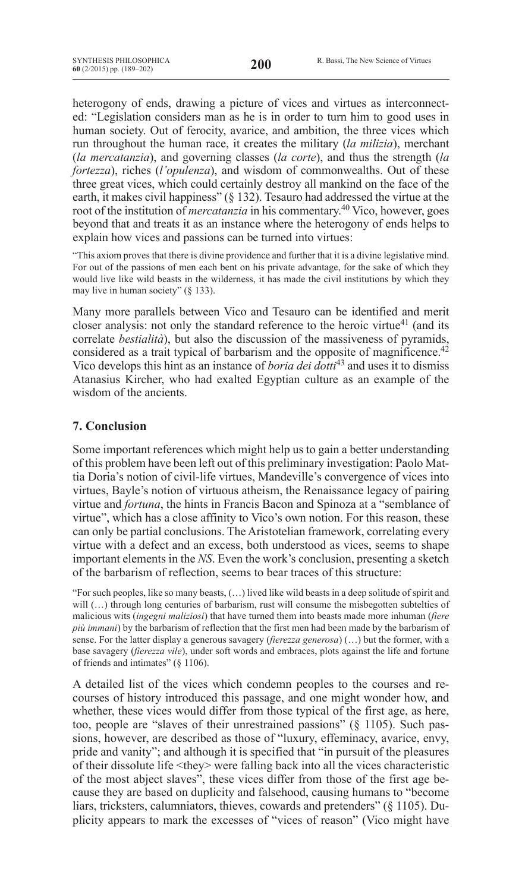heterogony of ends, drawing a picture of vices and virtues as interconnected: "Legislation considers man as he is in order to turn him to good uses in human society. Out of ferocity, avarice, and ambition, the three vices which run throughout the human race, it creates the military (*la milizia*), merchant (*la mercatanzia*), and governing classes (*la corte*), and thus the strength (*la fortezza*), riches (*l'opulenza*), and wisdom of commonwealths. Out of these three great vices, which could certainly destroy all mankind on the face of the earth, it makes civil happiness" (§ 132). Tesauro had addressed the virtue at the root of the institution of *mercatanzia* in his commentary.<sup>40</sup> Vico, however, goes beyond that and treats it as an instance where the heterogony of ends helps to explain how vices and passions can be turned into virtues:

"This axiom proves that there is divine providence and further that it is a divine legislative mind. For out of the passions of men each bent on his private advantage, for the sake of which they would live like wild beasts in the wilderness, it has made the civil institutions by which they may live in human society" (§ 133).

Many more parallels between Vico and Tesauro can be identified and merit closer analysis: not only the standard reference to the heroic virtue<sup>41</sup> (and its correlate *bestialità*), but also the discussion of the massiveness of pyramids, considered as a trait typical of barbarism and the opposite of magnificence.<sup>42</sup> Vico develops this hint as an instance of *boria dei dotti*<sup>43</sup> and uses it to dismiss Atanasius Kircher, who had exalted Egyptian culture as an example of the wisdom of the ancients.

# **7. Conclusion**

Some important references which might help us to gain a better understanding of this problem have been left out of this preliminary investigation: Paolo Mattia Doria's notion of civil-life virtues, Mandeville's convergence of vices into virtues, Bayle's notion of virtuous atheism, the Renaissance legacy of pairing virtue and *fortuna*, the hints in Francis Bacon and Spinoza at a "semblance of virtue", which has a close affinity to Vico's own notion. For this reason, these can only be partial conclusions. The Aristotelian framework, correlating every virtue with a defect and an excess, both understood as vices, seems to shape important elements in the *NS*. Even the work's conclusion, presenting a sketch of the barbarism of reflection, seems to bear traces of this structure:

"for such peoples, like so many beasts, (…) lived like wild beasts in a deep solitude of spirit and will  $(...)$  through long centuries of barbarism, rust will consume the misbegotten subtelties of malicious wits (*ingegni maliziosi*) that have turned them into beasts made more inhuman (*fiere più immani*) by the barbarism of reflection that the first men had been made by the barbarism of sense. For the latter display a generous savagery (*fierezza generosa*) (…) but the former, with a base savagery (*fierezza vile*), under soft words and embraces, plots against the life and fortune of friends and intimates" (§ 1106).

A detailed list of the vices which condemn peoples to the courses and recourses of history introduced this passage, and one might wonder how, and whether, these vices would differ from those typical of the first age, as here, too, people are "slaves of their unrestrained passions" (§ 1105). Such passions, however, are described as those of "luxury, effeminacy, avarice, envy, pride and vanity"; and although it is specified that "in pursuit of the pleasures of their dissolute life <they> were falling back into all the vices characteristic of the most abject slaves", these vices differ from those of the first age because they are based on duplicity and falsehood, causing humans to "become liars, tricksters, calumniators, thieves, cowards and pretenders" (§ 1105). Duplicity appears to mark the excesses of "vices of reason" (Vico might have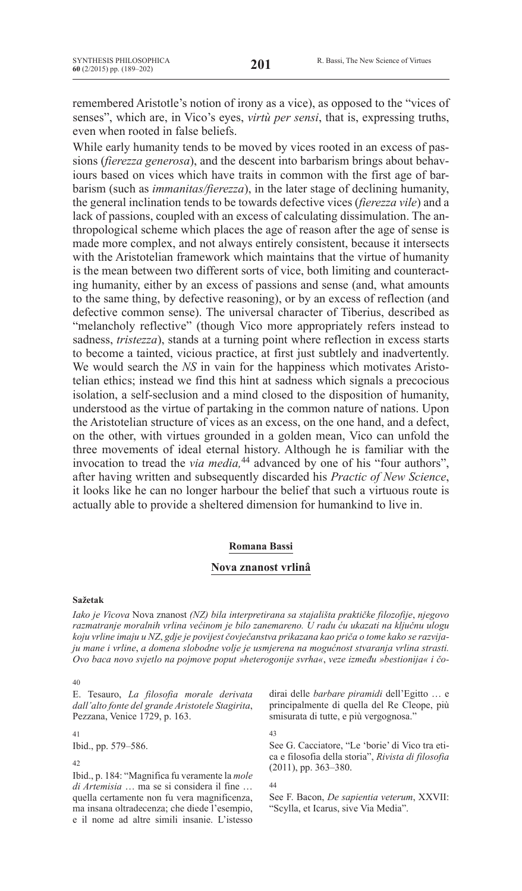remembered Aristotle's notion of irony as a vice), as opposed to the "vices of senses", which are, in Vico's eyes, *virtù per sensi*, that is, expressing truths, even when rooted in false beliefs.

While early humanity tends to be moved by vices rooted in an excess of passions (*fierezza generosa*), and the descent into barbarism brings about behaviours based on vices which have traits in common with the first age of barbarism (such as *immanitas/fierezza*), in the later stage of declining humanity, the general inclination tends to be towards defective vices (*fierezza vile*) and a lack of passions, coupled with an excess of calculating dissimulation. The anthropological scheme which places the age of reason after the age of sense is made more complex, and not always entirely consistent, because it intersects with the Aristotelian framework which maintains that the virtue of humanity is the mean between two different sorts of vice, both limiting and counteracting humanity, either by an excess of passions and sense (and, what amounts to the same thing, by defective reasoning), or by an excess of reflection (and defective common sense). The universal character of Tiberius, described as "melancholy reflective" (though Vico more appropriately refers instead to sadness, *tristezza*), stands at a turning point where reflection in excess starts to become a tainted, vicious practice, at first just subtlely and inadvertently. We would search the *NS* in vain for the happiness which motivates Aristotelian ethics; instead we find this hint at sadness which signals a precocious isolation, a self-seclusion and a mind closed to the disposition of humanity, understood as the virtue of partaking in the common nature of nations. Upon the Aristotelian structure of vices as an excess, on the one hand, and a defect, on the other, with virtues grounded in a golden mean, Vico can unfold the three movements of ideal eternal history. Although he is familiar with the invocation to tread the *via media*,<sup>44</sup> advanced by one of his "four authors", after having written and subsequently discarded his *Practic of new science*, it looks like he can no longer harbour the belief that such a virtuous route is actually able to provide a sheltered dimension for humankind to live in.

#### **Romana Bassi**

## **Nova znanost vrlinâ**

#### **Sažetak**

*Iako je Vicova* Nova znanost *(NZ) bila interpretirana sa stajališta praktičke filozofije*, *njegovo razmatranje moralnih vrlina većinom je bilo zanemareno. U radu ću ukazati na ključnu ulogu koju vrline imaju u NZ*, *gdje je povijest čovječanstva prikazana kao priča o tome kako se razvijaju mane i vrline*, *a domena slobodne volje je usmjerena na mogućnost stvaranja vrlina strasti. Ovo baca novo svjetlo na pojmove poput »heterogonije svrha«*, *veze između »bestionija« i čo-*

40

E. Tesauro, *La filosofia morale derivata dall'alto fonte del grande Aristotele Stagirita*, Pezzana, Venice 1729, p. 163.

41

Ibid., pp. 579–586.

42

Ibid., p. 184: "Magnifica fu veramente la *mole di Artemisia* … ma se si considera il fine … quella certamente non fu vera magnificenza, ma insana oltradecenza; che diede l'esempio, e il nome ad altre simili insanie. L'istesso dirai delle *barbare piramidi* dell'Egitto … e principalmente di quella del Re Cleope, più smisurata di tutte, e più vergognosa."

43

See G. Cacciatore, "Le 'borie' di Vico tra etica e filosofia della storia", *Rivista di filosofia* (2011), pp. 363–380.

44

See F. Bacon, *De sapientia veterum*, XXVII: "Scylla, et Icarus, sive Via Media".